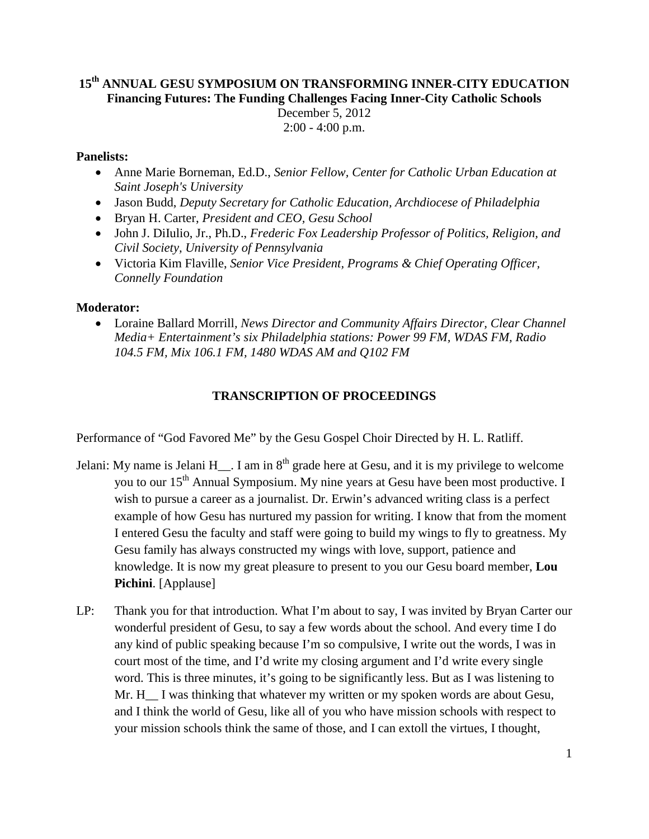# **15th ANNUAL GESU SYMPOSIUM ON TRANSFORMING INNER-CITY EDUCATION Financing Futures: The Funding Challenges Facing Inner-City Catholic Schools** December 5, 2012 2:00 - 4:00 p.m.

## **Panelists:**

- Anne Marie Borneman, Ed.D., *Senior Fellow, Center for Catholic Urban Education at Saint Joseph's University*
- Jason Budd, *Deputy Secretary for Catholic Education, Archdiocese of Philadelphia*
- Bryan H. Carter, *President and CEO, Gesu School*
- John J. DiIulio, Jr., Ph.D., *Frederic Fox Leadership Professor of Politics, Religion, and Civil Society, University of Pennsylvania*
- Victoria Kim Flaville, *Senior Vice President, Programs & Chief Operating Officer, Connelly Foundation*

## **Moderator:**

• Loraine Ballard Morrill*, News Director and Community Affairs Director, Clear Channel Media+ Entertainment's six Philadelphia stations: Power 99 FM, WDAS FM, Radio 104.5 FM, Mix 106.1 FM, 1480 WDAS AM and Q102 FM*

# **TRANSCRIPTION OF PROCEEDINGS**

Performance of "God Favored Me" by the Gesu Gospel Choir Directed by H. L. Ratliff.

- Jelani: My name is Jelani H  $\;$ . I am in 8<sup>th</sup> grade here at Gesu, and it is my privilege to welcome you to our 15<sup>th</sup> Annual Symposium. My nine years at Gesu have been most productive. I wish to pursue a career as a journalist. Dr. Erwin's advanced writing class is a perfect example of how Gesu has nurtured my passion for writing. I know that from the moment I entered Gesu the faculty and staff were going to build my wings to fly to greatness. My Gesu family has always constructed my wings with love, support, patience and knowledge. It is now my great pleasure to present to you our Gesu board member, **Lou Pichini**. [Applause]
- LP: Thank you for that introduction. What I'm about to say, I was invited by Bryan Carter our wonderful president of Gesu, to say a few words about the school. And every time I do any kind of public speaking because I'm so compulsive, I write out the words, I was in court most of the time, and I'd write my closing argument and I'd write every single word. This is three minutes, it's going to be significantly less. But as I was listening to Mr. H<sub>\_\_</sub> I was thinking that whatever my written or my spoken words are about Gesu, and I think the world of Gesu, like all of you who have mission schools with respect to your mission schools think the same of those, and I can extoll the virtues, I thought,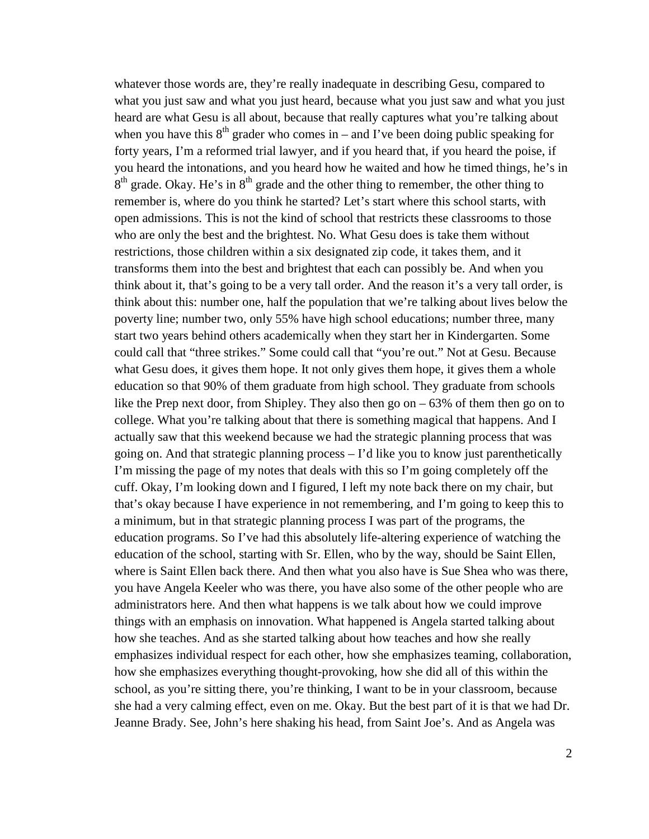whatever those words are, they're really inadequate in describing Gesu, compared to what you just saw and what you just heard, because what you just saw and what you just heard are what Gesu is all about, because that really captures what you're talking about when you have this  $8<sup>th</sup>$  grader who comes in – and I've been doing public speaking for forty years, I'm a reformed trial lawyer, and if you heard that, if you heard the poise, if you heard the intonations, and you heard how he waited and how he timed things, he's in  $8<sup>th</sup>$  grade. Okay. He's in  $8<sup>th</sup>$  grade and the other thing to remember, the other thing to remember is, where do you think he started? Let's start where this school starts, with open admissions. This is not the kind of school that restricts these classrooms to those who are only the best and the brightest. No. What Gesu does is take them without restrictions, those children within a six designated zip code, it takes them, and it transforms them into the best and brightest that each can possibly be. And when you think about it, that's going to be a very tall order. And the reason it's a very tall order, is think about this: number one, half the population that we're talking about lives below the poverty line; number two, only 55% have high school educations; number three, many start two years behind others academically when they start her in Kindergarten. Some could call that "three strikes." Some could call that "you're out." Not at Gesu. Because what Gesu does, it gives them hope. It not only gives them hope, it gives them a whole education so that 90% of them graduate from high school. They graduate from schools like the Prep next door, from Shipley. They also then go on – 63% of them then go on to college. What you're talking about that there is something magical that happens. And I actually saw that this weekend because we had the strategic planning process that was going on. And that strategic planning process – I'd like you to know just parenthetically I'm missing the page of my notes that deals with this so I'm going completely off the cuff. Okay, I'm looking down and I figured, I left my note back there on my chair, but that's okay because I have experience in not remembering, and I'm going to keep this to a minimum, but in that strategic planning process I was part of the programs, the education programs. So I've had this absolutely life-altering experience of watching the education of the school, starting with Sr. Ellen, who by the way, should be Saint Ellen, where is Saint Ellen back there. And then what you also have is Sue Shea who was there, you have Angela Keeler who was there, you have also some of the other people who are administrators here. And then what happens is we talk about how we could improve things with an emphasis on innovation. What happened is Angela started talking about how she teaches. And as she started talking about how teaches and how she really emphasizes individual respect for each other, how she emphasizes teaming, collaboration, how she emphasizes everything thought-provoking, how she did all of this within the school, as you're sitting there, you're thinking, I want to be in your classroom, because she had a very calming effect, even on me. Okay. But the best part of it is that we had Dr. Jeanne Brady. See, John's here shaking his head, from Saint Joe's. And as Angela was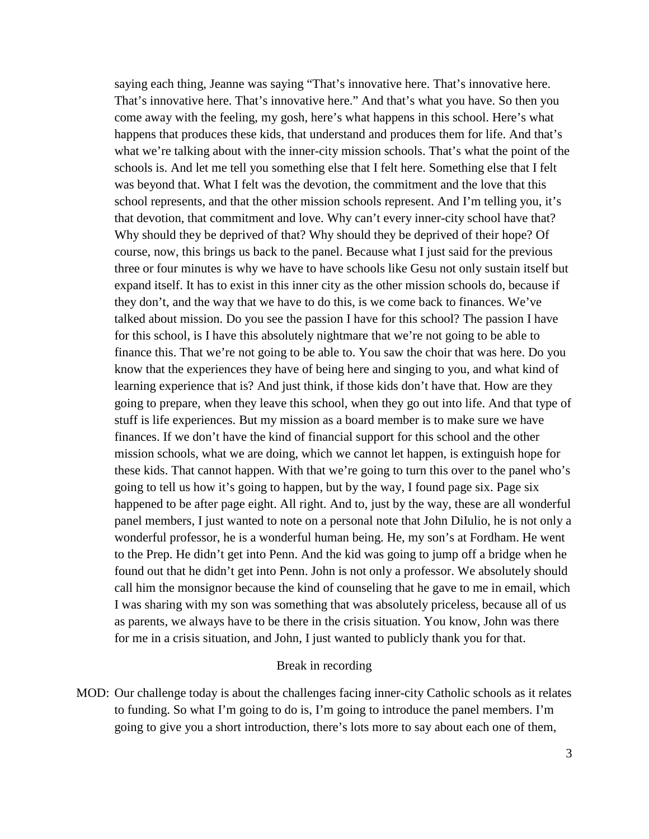saying each thing, Jeanne was saying "That's innovative here. That's innovative here. That's innovative here. That's innovative here." And that's what you have. So then you come away with the feeling, my gosh, here's what happens in this school. Here's what happens that produces these kids, that understand and produces them for life. And that's what we're talking about with the inner-city mission schools. That's what the point of the schools is. And let me tell you something else that I felt here. Something else that I felt was beyond that. What I felt was the devotion, the commitment and the love that this school represents, and that the other mission schools represent. And I'm telling you, it's that devotion, that commitment and love. Why can't every inner-city school have that? Why should they be deprived of that? Why should they be deprived of their hope? Of course, now, this brings us back to the panel. Because what I just said for the previous three or four minutes is why we have to have schools like Gesu not only sustain itself but expand itself. It has to exist in this inner city as the other mission schools do, because if they don't, and the way that we have to do this, is we come back to finances. We've talked about mission. Do you see the passion I have for this school? The passion I have for this school, is I have this absolutely nightmare that we're not going to be able to finance this. That we're not going to be able to. You saw the choir that was here. Do you know that the experiences they have of being here and singing to you, and what kind of learning experience that is? And just think, if those kids don't have that. How are they going to prepare, when they leave this school, when they go out into life. And that type of stuff is life experiences. But my mission as a board member is to make sure we have finances. If we don't have the kind of financial support for this school and the other mission schools, what we are doing, which we cannot let happen, is extinguish hope for these kids. That cannot happen. With that we're going to turn this over to the panel who's going to tell us how it's going to happen, but by the way, I found page six. Page six happened to be after page eight. All right. And to, just by the way, these are all wonderful panel members, I just wanted to note on a personal note that John DiIulio, he is not only a wonderful professor, he is a wonderful human being. He, my son's at Fordham. He went to the Prep. He didn't get into Penn. And the kid was going to jump off a bridge when he found out that he didn't get into Penn. John is not only a professor. We absolutely should call him the monsignor because the kind of counseling that he gave to me in email, which I was sharing with my son was something that was absolutely priceless, because all of us as parents, we always have to be there in the crisis situation. You know, John was there for me in a crisis situation, and John, I just wanted to publicly thank you for that.

### Break in recording

MOD: Our challenge today is about the challenges facing inner-city Catholic schools as it relates to funding. So what I'm going to do is, I'm going to introduce the panel members. I'm going to give you a short introduction, there's lots more to say about each one of them,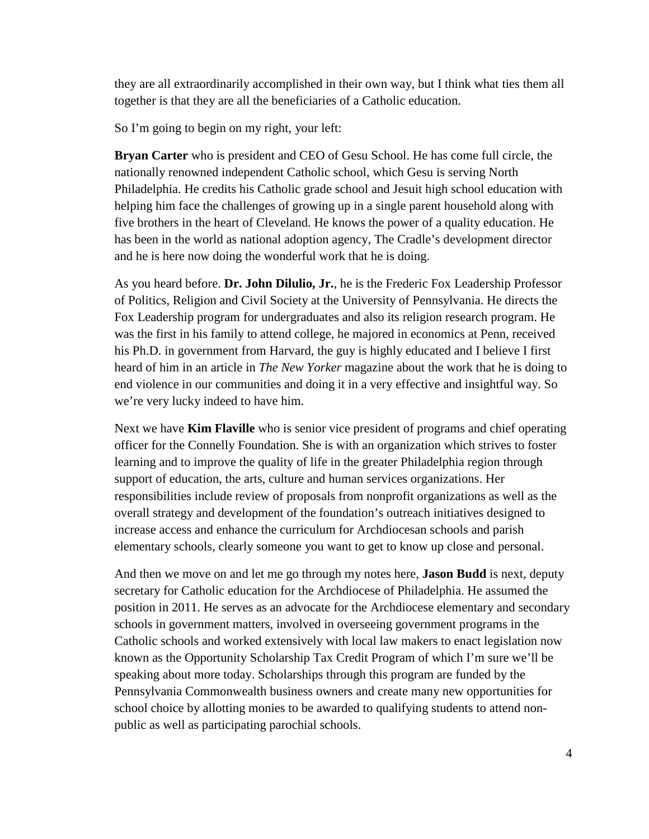they are all extraordinarily accomplished in their own way, but I think what ties them all together is that they are all the beneficiaries of a Catholic education.

So I'm going to begin on my right, your left:

**Bryan Carter** who is president and CEO of Gesu School. He has come full circle, the nationally renowned independent Catholic school, which Gesu is serving North Philadelphia. He credits his Catholic grade school and Jesuit high school education with helping him face the challenges of growing up in a single parent household along with five brothers in the heart of Cleveland. He knows the power of a quality education. He has been in the world as national adoption agency, The Cradle's development director and he is here now doing the wonderful work that he is doing.

As you heard before. **Dr. John Dilulio, Jr.**, he is the Frederic Fox Leadership Professor of Politics, Religion and Civil Society at the University of Pennsylvania. He directs the Fox Leadership program for undergraduates and also its religion research program. He was the first in his family to attend college, he majored in economics at Penn, received his Ph.D. in government from Harvard, the guy is highly educated and I believe I first heard of him in an article in *The New Yorker* magazine about the work that he is doing to end violence in our communities and doing it in a very effective and insightful way. So we're very lucky indeed to have him.

Next we have **Kim Flaville** who is senior vice president of programs and chief operating officer for the Connelly Foundation. She is with an organization which strives to foster learning and to improve the quality of life in the greater Philadelphia region through support of education, the arts, culture and human services organizations. Her responsibilities include review of proposals from nonprofit organizations as well as the overall strategy and development of the foundation's outreach initiatives designed to increase access and enhance the curriculum for Archdiocesan schools and parish elementary schools, clearly someone you want to get to know up close and personal.

And then we move on and let me go through my notes here, **Jason Budd** is next, deputy secretary for Catholic education for the Archdiocese of Philadelphia. He assumed the position in 2011. He serves as an advocate for the Archdiocese elementary and secondary schools in government matters, involved in overseeing government programs in the Catholic schools and worked extensively with local law makers to enact legislation now known as the Opportunity Scholarship Tax Credit Program of which I'm sure we'll be speaking about more today. Scholarships through this program are funded by the Pennsylvania Commonwealth business owners and create many new opportunities for school choice by allotting monies to be awarded to qualifying students to attend nonpublic as well as participating parochial schools.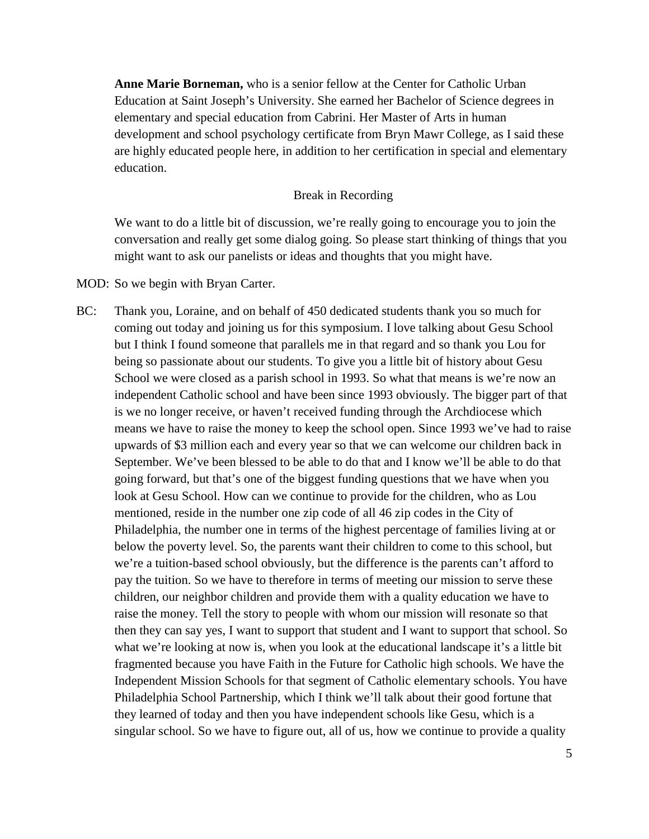**Anne Marie Borneman,** who is a senior fellow at the Center for Catholic Urban Education at Saint Joseph's University. She earned her Bachelor of Science degrees in elementary and special education from Cabrini. Her Master of Arts in human development and school psychology certificate from Bryn Mawr College, as I said these are highly educated people here, in addition to her certification in special and elementary education.

#### Break in Recording

We want to do a little bit of discussion, we're really going to encourage you to join the conversation and really get some dialog going. So please start thinking of things that you might want to ask our panelists or ideas and thoughts that you might have.

### MOD: So we begin with Bryan Carter.

BC: Thank you, Loraine, and on behalf of 450 dedicated students thank you so much for coming out today and joining us for this symposium. I love talking about Gesu School but I think I found someone that parallels me in that regard and so thank you Lou for being so passionate about our students. To give you a little bit of history about Gesu School we were closed as a parish school in 1993. So what that means is we're now an independent Catholic school and have been since 1993 obviously. The bigger part of that is we no longer receive, or haven't received funding through the Archdiocese which means we have to raise the money to keep the school open. Since 1993 we've had to raise upwards of \$3 million each and every year so that we can welcome our children back in September. We've been blessed to be able to do that and I know we'll be able to do that going forward, but that's one of the biggest funding questions that we have when you look at Gesu School. How can we continue to provide for the children, who as Lou mentioned, reside in the number one zip code of all 46 zip codes in the City of Philadelphia, the number one in terms of the highest percentage of families living at or below the poverty level. So, the parents want their children to come to this school, but we're a tuition-based school obviously, but the difference is the parents can't afford to pay the tuition. So we have to therefore in terms of meeting our mission to serve these children, our neighbor children and provide them with a quality education we have to raise the money. Tell the story to people with whom our mission will resonate so that then they can say yes, I want to support that student and I want to support that school. So what we're looking at now is, when you look at the educational landscape it's a little bit fragmented because you have Faith in the Future for Catholic high schools. We have the Independent Mission Schools for that segment of Catholic elementary schools. You have Philadelphia School Partnership, which I think we'll talk about their good fortune that they learned of today and then you have independent schools like Gesu, which is a singular school. So we have to figure out, all of us, how we continue to provide a quality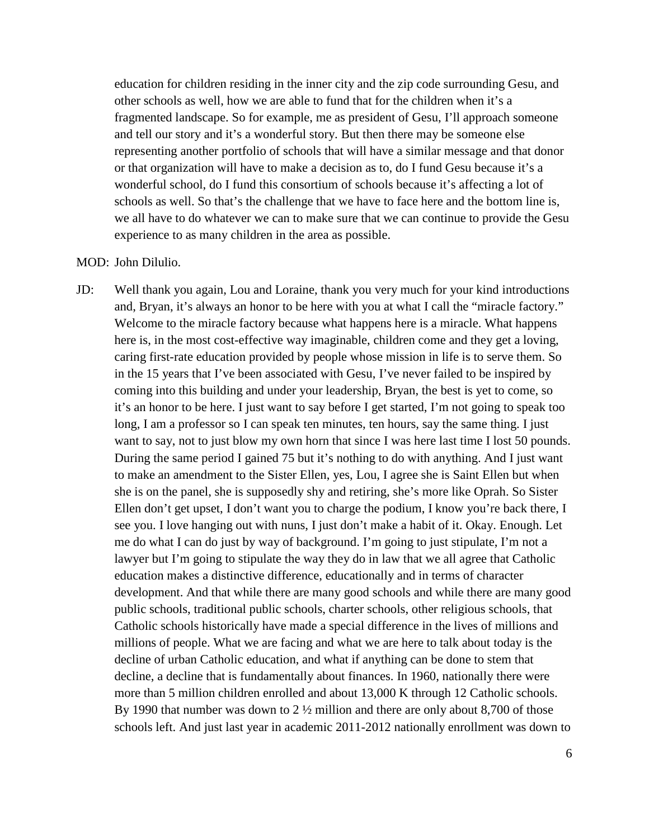education for children residing in the inner city and the zip code surrounding Gesu, and other schools as well, how we are able to fund that for the children when it's a fragmented landscape. So for example, me as president of Gesu, I'll approach someone and tell our story and it's a wonderful story. But then there may be someone else representing another portfolio of schools that will have a similar message and that donor or that organization will have to make a decision as to, do I fund Gesu because it's a wonderful school, do I fund this consortium of schools because it's affecting a lot of schools as well. So that's the challenge that we have to face here and the bottom line is, we all have to do whatever we can to make sure that we can continue to provide the Gesu experience to as many children in the area as possible.

### MOD: John Dilulio.

JD: Well thank you again, Lou and Loraine, thank you very much for your kind introductions and, Bryan, it's always an honor to be here with you at what I call the "miracle factory." Welcome to the miracle factory because what happens here is a miracle. What happens here is, in the most cost-effective way imaginable, children come and they get a loving, caring first-rate education provided by people whose mission in life is to serve them. So in the 15 years that I've been associated with Gesu, I've never failed to be inspired by coming into this building and under your leadership, Bryan, the best is yet to come, so it's an honor to be here. I just want to say before I get started, I'm not going to speak too long, I am a professor so I can speak ten minutes, ten hours, say the same thing. I just want to say, not to just blow my own horn that since I was here last time I lost 50 pounds. During the same period I gained 75 but it's nothing to do with anything. And I just want to make an amendment to the Sister Ellen, yes, Lou, I agree she is Saint Ellen but when she is on the panel, she is supposedly shy and retiring, she's more like Oprah. So Sister Ellen don't get upset, I don't want you to charge the podium, I know you're back there, I see you. I love hanging out with nuns, I just don't make a habit of it. Okay. Enough. Let me do what I can do just by way of background. I'm going to just stipulate, I'm not a lawyer but I'm going to stipulate the way they do in law that we all agree that Catholic education makes a distinctive difference, educationally and in terms of character development. And that while there are many good schools and while there are many good public schools, traditional public schools, charter schools, other religious schools, that Catholic schools historically have made a special difference in the lives of millions and millions of people. What we are facing and what we are here to talk about today is the decline of urban Catholic education, and what if anything can be done to stem that decline, a decline that is fundamentally about finances. In 1960, nationally there were more than 5 million children enrolled and about 13,000 K through 12 Catholic schools. By 1990 that number was down to 2 ½ million and there are only about 8,700 of those schools left. And just last year in academic 2011-2012 nationally enrollment was down to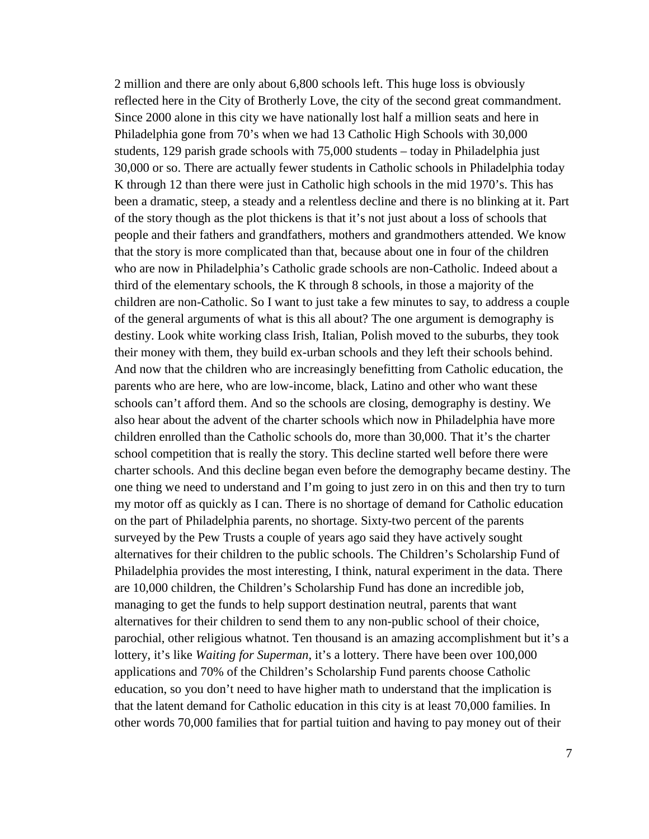2 million and there are only about 6,800 schools left. This huge loss is obviously reflected here in the City of Brotherly Love, the city of the second great commandment. Since 2000 alone in this city we have nationally lost half a million seats and here in Philadelphia gone from 70's when we had 13 Catholic High Schools with 30,000 students, 129 parish grade schools with 75,000 students – today in Philadelphia just 30,000 or so. There are actually fewer students in Catholic schools in Philadelphia today K through 12 than there were just in Catholic high schools in the mid 1970's. This has been a dramatic, steep, a steady and a relentless decline and there is no blinking at it. Part of the story though as the plot thickens is that it's not just about a loss of schools that people and their fathers and grandfathers, mothers and grandmothers attended. We know that the story is more complicated than that, because about one in four of the children who are now in Philadelphia's Catholic grade schools are non-Catholic. Indeed about a third of the elementary schools, the K through 8 schools, in those a majority of the children are non-Catholic. So I want to just take a few minutes to say, to address a couple of the general arguments of what is this all about? The one argument is demography is destiny. Look white working class Irish, Italian, Polish moved to the suburbs, they took their money with them, they build ex-urban schools and they left their schools behind. And now that the children who are increasingly benefitting from Catholic education, the parents who are here, who are low-income, black, Latino and other who want these schools can't afford them. And so the schools are closing, demography is destiny. We also hear about the advent of the charter schools which now in Philadelphia have more children enrolled than the Catholic schools do, more than 30,000. That it's the charter school competition that is really the story. This decline started well before there were charter schools. And this decline began even before the demography became destiny. The one thing we need to understand and I'm going to just zero in on this and then try to turn my motor off as quickly as I can. There is no shortage of demand for Catholic education on the part of Philadelphia parents, no shortage. Sixty-two percent of the parents surveyed by the Pew Trusts a couple of years ago said they have actively sought alternatives for their children to the public schools. The Children's Scholarship Fund of Philadelphia provides the most interesting, I think, natural experiment in the data. There are 10,000 children, the Children's Scholarship Fund has done an incredible job, managing to get the funds to help support destination neutral, parents that want alternatives for their children to send them to any non-public school of their choice, parochial, other religious whatnot. Ten thousand is an amazing accomplishment but it's a lottery, it's like *Waiting for Superman*, it's a lottery. There have been over 100,000 applications and 70% of the Children's Scholarship Fund parents choose Catholic education, so you don't need to have higher math to understand that the implication is that the latent demand for Catholic education in this city is at least 70,000 families. In other words 70,000 families that for partial tuition and having to pay money out of their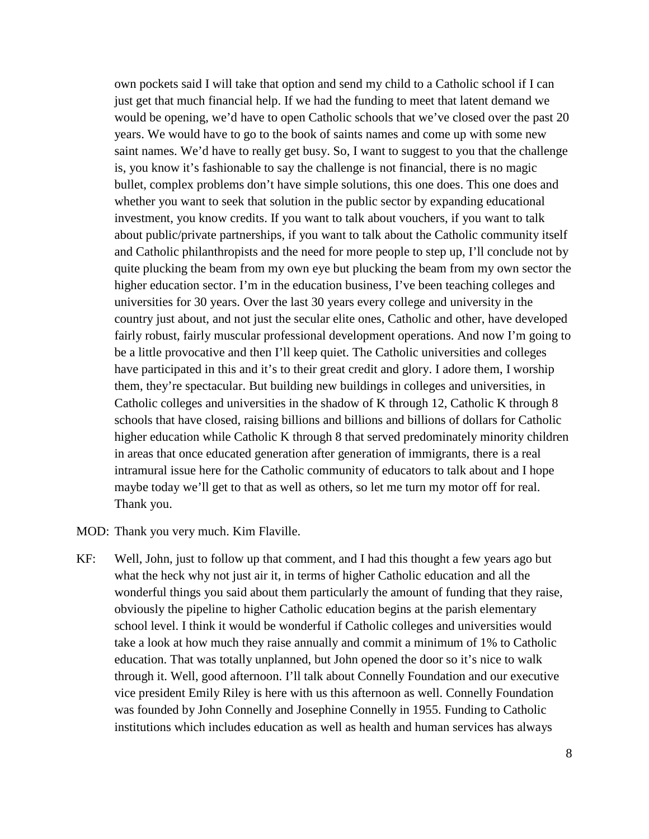own pockets said I will take that option and send my child to a Catholic school if I can just get that much financial help. If we had the funding to meet that latent demand we would be opening, we'd have to open Catholic schools that we've closed over the past 20 years. We would have to go to the book of saints names and come up with some new saint names. We'd have to really get busy. So, I want to suggest to you that the challenge is, you know it's fashionable to say the challenge is not financial, there is no magic bullet, complex problems don't have simple solutions, this one does. This one does and whether you want to seek that solution in the public sector by expanding educational investment, you know credits. If you want to talk about vouchers, if you want to talk about public/private partnerships, if you want to talk about the Catholic community itself and Catholic philanthropists and the need for more people to step up, I'll conclude not by quite plucking the beam from my own eye but plucking the beam from my own sector the higher education sector. I'm in the education business, I've been teaching colleges and universities for 30 years. Over the last 30 years every college and university in the country just about, and not just the secular elite ones, Catholic and other, have developed fairly robust, fairly muscular professional development operations. And now I'm going to be a little provocative and then I'll keep quiet. The Catholic universities and colleges have participated in this and it's to their great credit and glory. I adore them, I worship them, they're spectacular. But building new buildings in colleges and universities, in Catholic colleges and universities in the shadow of K through 12, Catholic K through 8 schools that have closed, raising billions and billions and billions of dollars for Catholic higher education while Catholic K through 8 that served predominately minority children in areas that once educated generation after generation of immigrants, there is a real intramural issue here for the Catholic community of educators to talk about and I hope maybe today we'll get to that as well as others, so let me turn my motor off for real. Thank you.

MOD: Thank you very much. Kim Flaville.

KF: Well, John, just to follow up that comment, and I had this thought a few years ago but what the heck why not just air it, in terms of higher Catholic education and all the wonderful things you said about them particularly the amount of funding that they raise, obviously the pipeline to higher Catholic education begins at the parish elementary school level. I think it would be wonderful if Catholic colleges and universities would take a look at how much they raise annually and commit a minimum of 1% to Catholic education. That was totally unplanned, but John opened the door so it's nice to walk through it. Well, good afternoon. I'll talk about Connelly Foundation and our executive vice president Emily Riley is here with us this afternoon as well. Connelly Foundation was founded by John Connelly and Josephine Connelly in 1955. Funding to Catholic institutions which includes education as well as health and human services has always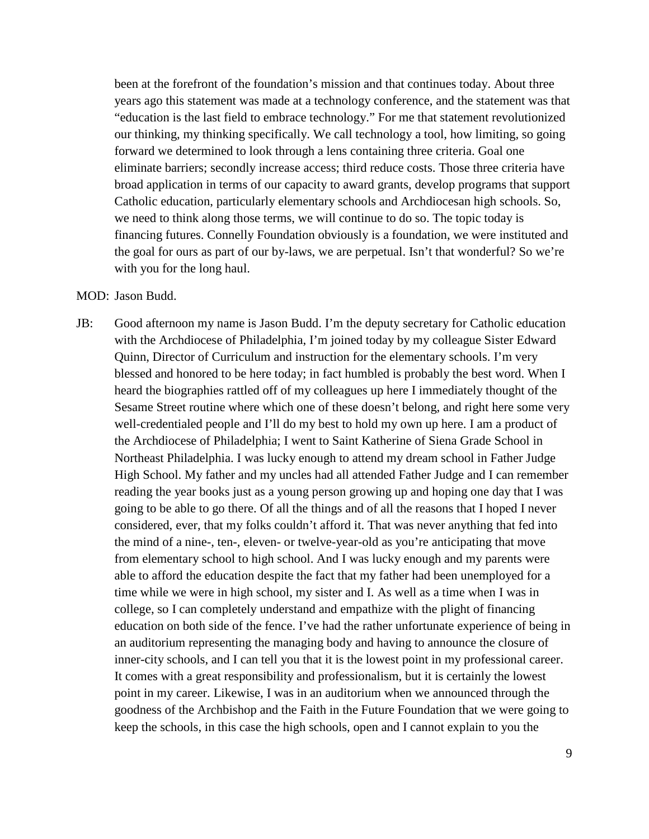been at the forefront of the foundation's mission and that continues today. About three years ago this statement was made at a technology conference, and the statement was that "education is the last field to embrace technology." For me that statement revolutionized our thinking, my thinking specifically. We call technology a tool, how limiting, so going forward we determined to look through a lens containing three criteria. Goal one eliminate barriers; secondly increase access; third reduce costs. Those three criteria have broad application in terms of our capacity to award grants, develop programs that support Catholic education, particularly elementary schools and Archdiocesan high schools. So, we need to think along those terms, we will continue to do so. The topic today is financing futures. Connelly Foundation obviously is a foundation, we were instituted and the goal for ours as part of our by-laws, we are perpetual. Isn't that wonderful? So we're with you for the long haul.

## MOD: Jason Budd.

JB: Good afternoon my name is Jason Budd. I'm the deputy secretary for Catholic education with the Archdiocese of Philadelphia, I'm joined today by my colleague Sister Edward Quinn, Director of Curriculum and instruction for the elementary schools. I'm very blessed and honored to be here today; in fact humbled is probably the best word. When I heard the biographies rattled off of my colleagues up here I immediately thought of the Sesame Street routine where which one of these doesn't belong, and right here some very well-credentialed people and I'll do my best to hold my own up here. I am a product of the Archdiocese of Philadelphia; I went to Saint Katherine of Siena Grade School in Northeast Philadelphia. I was lucky enough to attend my dream school in Father Judge High School. My father and my uncles had all attended Father Judge and I can remember reading the year books just as a young person growing up and hoping one day that I was going to be able to go there. Of all the things and of all the reasons that I hoped I never considered, ever, that my folks couldn't afford it. That was never anything that fed into the mind of a nine-, ten-, eleven- or twelve-year-old as you're anticipating that move from elementary school to high school. And I was lucky enough and my parents were able to afford the education despite the fact that my father had been unemployed for a time while we were in high school, my sister and I. As well as a time when I was in college, so I can completely understand and empathize with the plight of financing education on both side of the fence. I've had the rather unfortunate experience of being in an auditorium representing the managing body and having to announce the closure of inner-city schools, and I can tell you that it is the lowest point in my professional career. It comes with a great responsibility and professionalism, but it is certainly the lowest point in my career. Likewise, I was in an auditorium when we announced through the goodness of the Archbishop and the Faith in the Future Foundation that we were going to keep the schools, in this case the high schools, open and I cannot explain to you the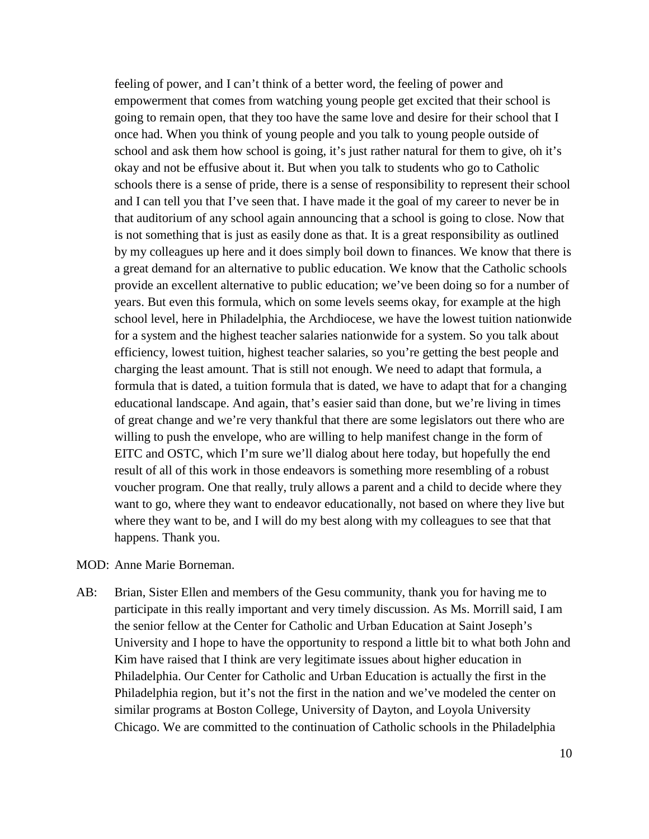feeling of power, and I can't think of a better word, the feeling of power and empowerment that comes from watching young people get excited that their school is going to remain open, that they too have the same love and desire for their school that I once had. When you think of young people and you talk to young people outside of school and ask them how school is going, it's just rather natural for them to give, oh it's okay and not be effusive about it. But when you talk to students who go to Catholic schools there is a sense of pride, there is a sense of responsibility to represent their school and I can tell you that I've seen that. I have made it the goal of my career to never be in that auditorium of any school again announcing that a school is going to close. Now that is not something that is just as easily done as that. It is a great responsibility as outlined by my colleagues up here and it does simply boil down to finances. We know that there is a great demand for an alternative to public education. We know that the Catholic schools provide an excellent alternative to public education; we've been doing so for a number of years. But even this formula, which on some levels seems okay, for example at the high school level, here in Philadelphia, the Archdiocese, we have the lowest tuition nationwide for a system and the highest teacher salaries nationwide for a system. So you talk about efficiency, lowest tuition, highest teacher salaries, so you're getting the best people and charging the least amount. That is still not enough. We need to adapt that formula, a formula that is dated, a tuition formula that is dated, we have to adapt that for a changing educational landscape. And again, that's easier said than done, but we're living in times of great change and we're very thankful that there are some legislators out there who are willing to push the envelope, who are willing to help manifest change in the form of EITC and OSTC, which I'm sure we'll dialog about here today, but hopefully the end result of all of this work in those endeavors is something more resembling of a robust voucher program. One that really, truly allows a parent and a child to decide where they want to go, where they want to endeavor educationally, not based on where they live but where they want to be, and I will do my best along with my colleagues to see that that happens. Thank you.

- MOD: Anne Marie Borneman.
- AB: Brian, Sister Ellen and members of the Gesu community, thank you for having me to participate in this really important and very timely discussion. As Ms. Morrill said, I am the senior fellow at the Center for Catholic and Urban Education at Saint Joseph's University and I hope to have the opportunity to respond a little bit to what both John and Kim have raised that I think are very legitimate issues about higher education in Philadelphia. Our Center for Catholic and Urban Education is actually the first in the Philadelphia region, but it's not the first in the nation and we've modeled the center on similar programs at Boston College, University of Dayton, and Loyola University Chicago. We are committed to the continuation of Catholic schools in the Philadelphia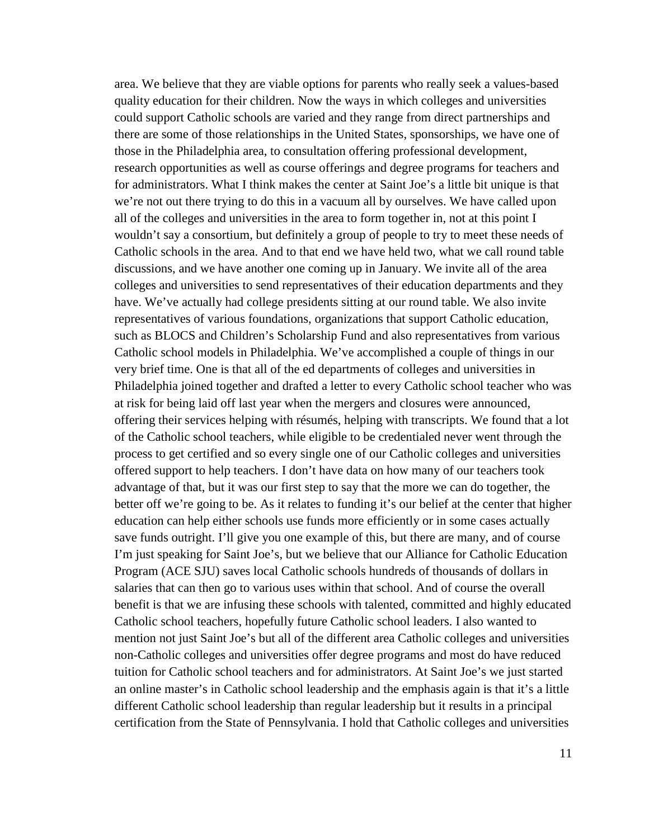area. We believe that they are viable options for parents who really seek a values-based quality education for their children. Now the ways in which colleges and universities could support Catholic schools are varied and they range from direct partnerships and there are some of those relationships in the United States, sponsorships, we have one of those in the Philadelphia area, to consultation offering professional development, research opportunities as well as course offerings and degree programs for teachers and for administrators. What I think makes the center at Saint Joe's a little bit unique is that we're not out there trying to do this in a vacuum all by ourselves. We have called upon all of the colleges and universities in the area to form together in, not at this point I wouldn't say a consortium, but definitely a group of people to try to meet these needs of Catholic schools in the area. And to that end we have held two, what we call round table discussions, and we have another one coming up in January. We invite all of the area colleges and universities to send representatives of their education departments and they have. We've actually had college presidents sitting at our round table. We also invite representatives of various foundations, organizations that support Catholic education, such as BLOCS and Children's Scholarship Fund and also representatives from various Catholic school models in Philadelphia. We've accomplished a couple of things in our very brief time. One is that all of the ed departments of colleges and universities in Philadelphia joined together and drafted a letter to every Catholic school teacher who was at risk for being laid off last year when the mergers and closures were announced, offering their services helping with résumés, helping with transcripts. We found that a lot of the Catholic school teachers, while eligible to be credentialed never went through the process to get certified and so every single one of our Catholic colleges and universities offered support to help teachers. I don't have data on how many of our teachers took advantage of that, but it was our first step to say that the more we can do together, the better off we're going to be. As it relates to funding it's our belief at the center that higher education can help either schools use funds more efficiently or in some cases actually save funds outright. I'll give you one example of this, but there are many, and of course I'm just speaking for Saint Joe's, but we believe that our Alliance for Catholic Education Program (ACE SJU) saves local Catholic schools hundreds of thousands of dollars in salaries that can then go to various uses within that school. And of course the overall benefit is that we are infusing these schools with talented, committed and highly educated Catholic school teachers, hopefully future Catholic school leaders. I also wanted to mention not just Saint Joe's but all of the different area Catholic colleges and universities non-Catholic colleges and universities offer degree programs and most do have reduced tuition for Catholic school teachers and for administrators. At Saint Joe's we just started an online master's in Catholic school leadership and the emphasis again is that it's a little different Catholic school leadership than regular leadership but it results in a principal certification from the State of Pennsylvania. I hold that Catholic colleges and universities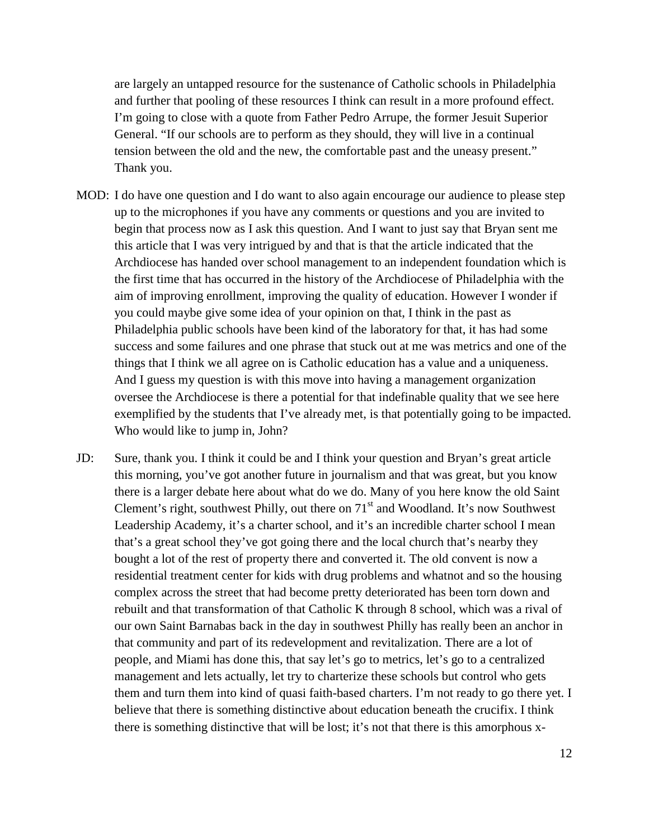are largely an untapped resource for the sustenance of Catholic schools in Philadelphia and further that pooling of these resources I think can result in a more profound effect. I'm going to close with a quote from Father Pedro Arrupe, the former Jesuit Superior General. "If our schools are to perform as they should, they will live in a continual tension between the old and the new, the comfortable past and the uneasy present." Thank you.

- MOD: I do have one question and I do want to also again encourage our audience to please step up to the microphones if you have any comments or questions and you are invited to begin that process now as I ask this question. And I want to just say that Bryan sent me this article that I was very intrigued by and that is that the article indicated that the Archdiocese has handed over school management to an independent foundation which is the first time that has occurred in the history of the Archdiocese of Philadelphia with the aim of improving enrollment, improving the quality of education. However I wonder if you could maybe give some idea of your opinion on that, I think in the past as Philadelphia public schools have been kind of the laboratory for that, it has had some success and some failures and one phrase that stuck out at me was metrics and one of the things that I think we all agree on is Catholic education has a value and a uniqueness. And I guess my question is with this move into having a management organization oversee the Archdiocese is there a potential for that indefinable quality that we see here exemplified by the students that I've already met, is that potentially going to be impacted. Who would like to jump in, John?
- JD: Sure, thank you. I think it could be and I think your question and Bryan's great article this morning, you've got another future in journalism and that was great, but you know there is a larger debate here about what do we do. Many of you here know the old Saint Clement's right, southwest Philly, out there on  $71<sup>st</sup>$  and Woodland. It's now Southwest Leadership Academy, it's a charter school, and it's an incredible charter school I mean that's a great school they've got going there and the local church that's nearby they bought a lot of the rest of property there and converted it. The old convent is now a residential treatment center for kids with drug problems and whatnot and so the housing complex across the street that had become pretty deteriorated has been torn down and rebuilt and that transformation of that Catholic K through 8 school, which was a rival of our own Saint Barnabas back in the day in southwest Philly has really been an anchor in that community and part of its redevelopment and revitalization. There are a lot of people, and Miami has done this, that say let's go to metrics, let's go to a centralized management and lets actually, let try to charterize these schools but control who gets them and turn them into kind of quasi faith-based charters. I'm not ready to go there yet. I believe that there is something distinctive about education beneath the crucifix. I think there is something distinctive that will be lost; it's not that there is this amorphous x-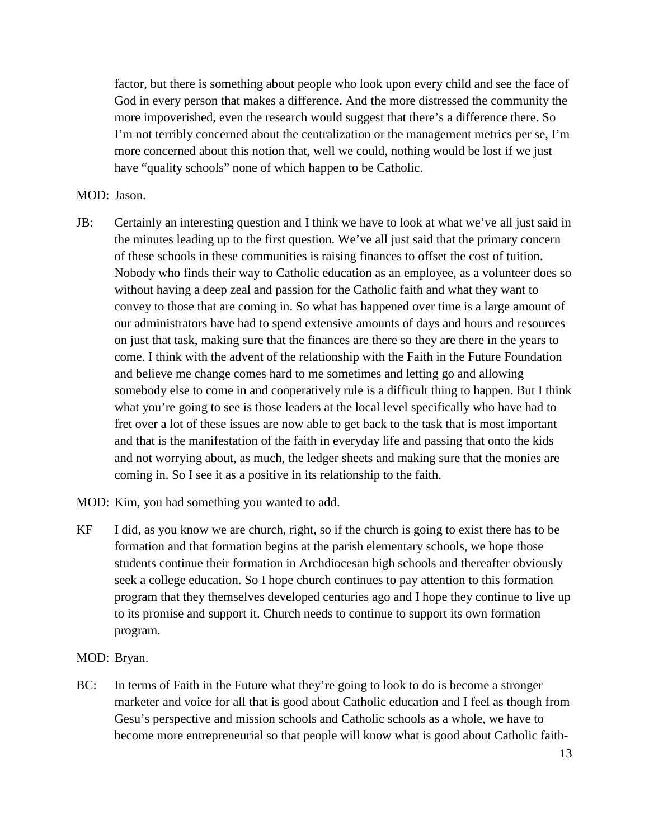factor, but there is something about people who look upon every child and see the face of God in every person that makes a difference. And the more distressed the community the more impoverished, even the research would suggest that there's a difference there. So I'm not terribly concerned about the centralization or the management metrics per se, I'm more concerned about this notion that, well we could, nothing would be lost if we just have "quality schools" none of which happen to be Catholic.

## MOD: Jason.

- JB: Certainly an interesting question and I think we have to look at what we've all just said in the minutes leading up to the first question. We've all just said that the primary concern of these schools in these communities is raising finances to offset the cost of tuition. Nobody who finds their way to Catholic education as an employee, as a volunteer does so without having a deep zeal and passion for the Catholic faith and what they want to convey to those that are coming in. So what has happened over time is a large amount of our administrators have had to spend extensive amounts of days and hours and resources on just that task, making sure that the finances are there so they are there in the years to come. I think with the advent of the relationship with the Faith in the Future Foundation and believe me change comes hard to me sometimes and letting go and allowing somebody else to come in and cooperatively rule is a difficult thing to happen. But I think what you're going to see is those leaders at the local level specifically who have had to fret over a lot of these issues are now able to get back to the task that is most important and that is the manifestation of the faith in everyday life and passing that onto the kids and not worrying about, as much, the ledger sheets and making sure that the monies are coming in. So I see it as a positive in its relationship to the faith.
- MOD: Kim, you had something you wanted to add.
- KF I did, as you know we are church, right, so if the church is going to exist there has to be formation and that formation begins at the parish elementary schools, we hope those students continue their formation in Archdiocesan high schools and thereafter obviously seek a college education. So I hope church continues to pay attention to this formation program that they themselves developed centuries ago and I hope they continue to live up to its promise and support it. Church needs to continue to support its own formation program.

## MOD: Bryan.

BC: In terms of Faith in the Future what they're going to look to do is become a stronger marketer and voice for all that is good about Catholic education and I feel as though from Gesu's perspective and mission schools and Catholic schools as a whole, we have to become more entrepreneurial so that people will know what is good about Catholic faith-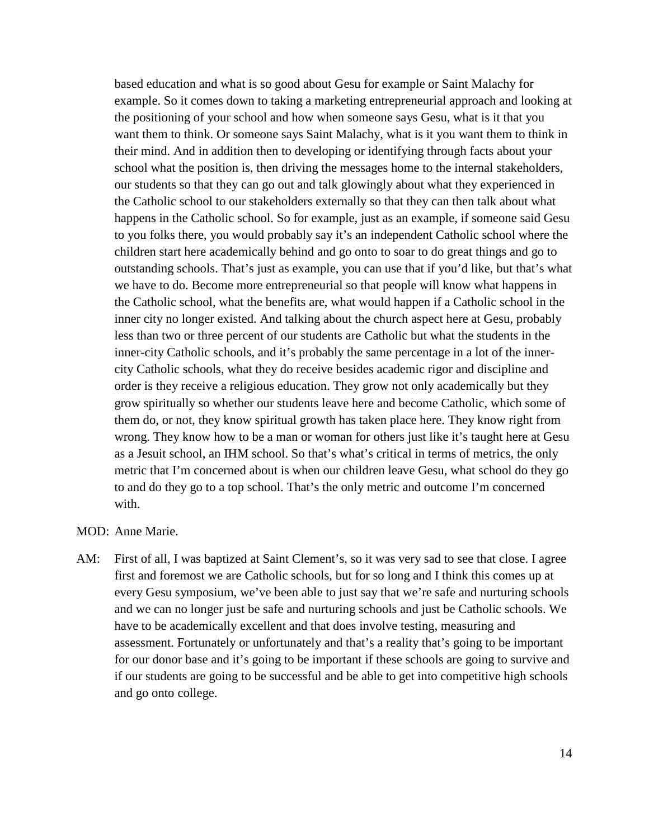based education and what is so good about Gesu for example or Saint Malachy for example. So it comes down to taking a marketing entrepreneurial approach and looking at the positioning of your school and how when someone says Gesu, what is it that you want them to think. Or someone says Saint Malachy, what is it you want them to think in their mind. And in addition then to developing or identifying through facts about your school what the position is, then driving the messages home to the internal stakeholders, our students so that they can go out and talk glowingly about what they experienced in the Catholic school to our stakeholders externally so that they can then talk about what happens in the Catholic school. So for example, just as an example, if someone said Gesu to you folks there, you would probably say it's an independent Catholic school where the children start here academically behind and go onto to soar to do great things and go to outstanding schools. That's just as example, you can use that if you'd like, but that's what we have to do. Become more entrepreneurial so that people will know what happens in the Catholic school, what the benefits are, what would happen if a Catholic school in the inner city no longer existed. And talking about the church aspect here at Gesu, probably less than two or three percent of our students are Catholic but what the students in the inner-city Catholic schools, and it's probably the same percentage in a lot of the innercity Catholic schools, what they do receive besides academic rigor and discipline and order is they receive a religious education. They grow not only academically but they grow spiritually so whether our students leave here and become Catholic, which some of them do, or not, they know spiritual growth has taken place here. They know right from wrong. They know how to be a man or woman for others just like it's taught here at Gesu as a Jesuit school, an IHM school. So that's what's critical in terms of metrics, the only metric that I'm concerned about is when our children leave Gesu, what school do they go to and do they go to a top school. That's the only metric and outcome I'm concerned with.

- MOD: Anne Marie.
- AM: First of all, I was baptized at Saint Clement's, so it was very sad to see that close. I agree first and foremost we are Catholic schools, but for so long and I think this comes up at every Gesu symposium, we've been able to just say that we're safe and nurturing schools and we can no longer just be safe and nurturing schools and just be Catholic schools. We have to be academically excellent and that does involve testing, measuring and assessment. Fortunately or unfortunately and that's a reality that's going to be important for our donor base and it's going to be important if these schools are going to survive and if our students are going to be successful and be able to get into competitive high schools and go onto college.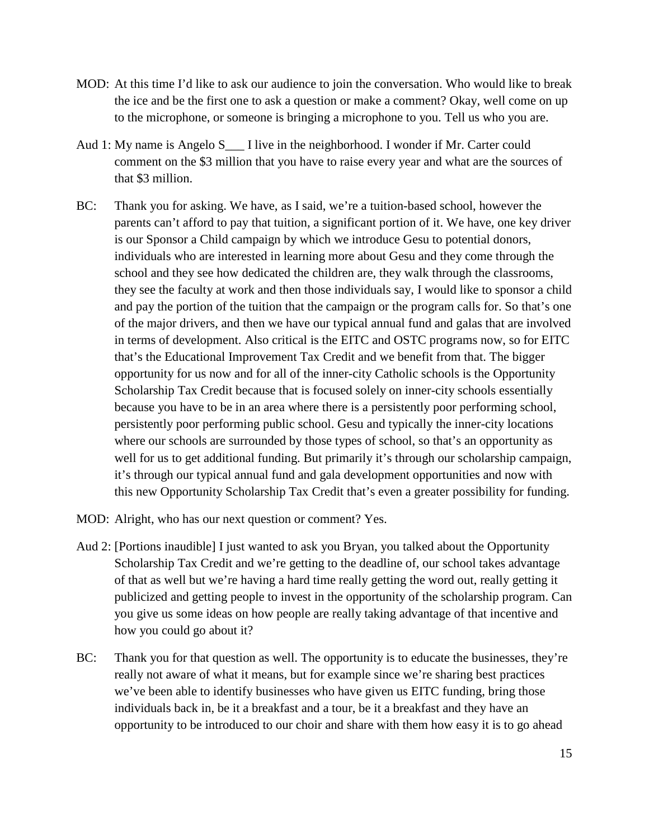- MOD: At this time I'd like to ask our audience to join the conversation. Who would like to break the ice and be the first one to ask a question or make a comment? Okay, well come on up to the microphone, or someone is bringing a microphone to you. Tell us who you are.
- Aud 1: My name is Angelo S<sub>\_\_\_</sub> I live in the neighborhood. I wonder if Mr. Carter could comment on the \$3 million that you have to raise every year and what are the sources of that \$3 million.
- BC: Thank you for asking. We have, as I said, we're a tuition-based school, however the parents can't afford to pay that tuition, a significant portion of it. We have, one key driver is our Sponsor a Child campaign by which we introduce Gesu to potential donors, individuals who are interested in learning more about Gesu and they come through the school and they see how dedicated the children are, they walk through the classrooms, they see the faculty at work and then those individuals say, I would like to sponsor a child and pay the portion of the tuition that the campaign or the program calls for. So that's one of the major drivers, and then we have our typical annual fund and galas that are involved in terms of development. Also critical is the EITC and OSTC programs now, so for EITC that's the Educational Improvement Tax Credit and we benefit from that. The bigger opportunity for us now and for all of the inner-city Catholic schools is the Opportunity Scholarship Tax Credit because that is focused solely on inner-city schools essentially because you have to be in an area where there is a persistently poor performing school, persistently poor performing public school. Gesu and typically the inner-city locations where our schools are surrounded by those types of school, so that's an opportunity as well for us to get additional funding. But primarily it's through our scholarship campaign, it's through our typical annual fund and gala development opportunities and now with this new Opportunity Scholarship Tax Credit that's even a greater possibility for funding.
- MOD: Alright, who has our next question or comment? Yes.
- Aud 2: [Portions inaudible] I just wanted to ask you Bryan, you talked about the Opportunity Scholarship Tax Credit and we're getting to the deadline of, our school takes advantage of that as well but we're having a hard time really getting the word out, really getting it publicized and getting people to invest in the opportunity of the scholarship program. Can you give us some ideas on how people are really taking advantage of that incentive and how you could go about it?
- BC: Thank you for that question as well. The opportunity is to educate the businesses, they're really not aware of what it means, but for example since we're sharing best practices we've been able to identify businesses who have given us EITC funding, bring those individuals back in, be it a breakfast and a tour, be it a breakfast and they have an opportunity to be introduced to our choir and share with them how easy it is to go ahead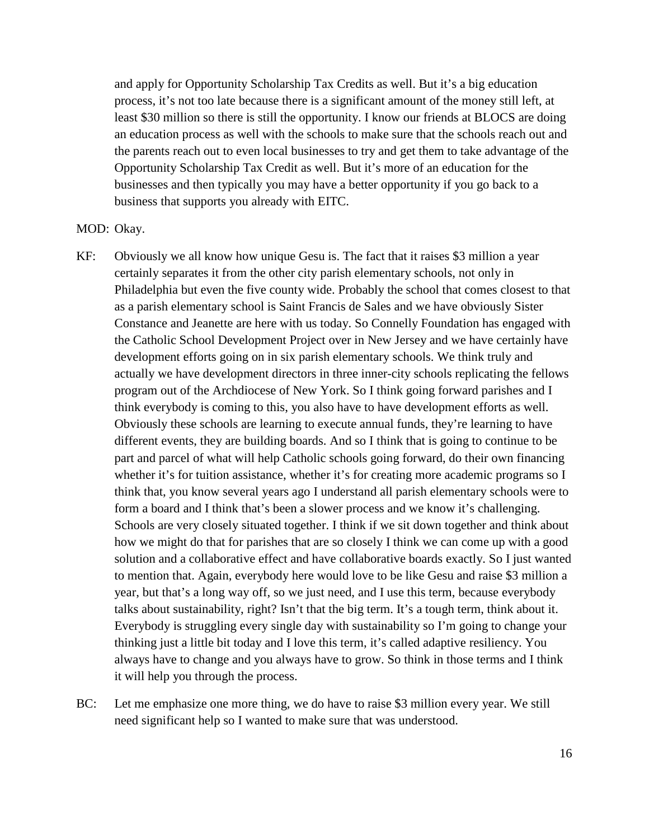and apply for Opportunity Scholarship Tax Credits as well. But it's a big education process, it's not too late because there is a significant amount of the money still left, at least \$30 million so there is still the opportunity. I know our friends at BLOCS are doing an education process as well with the schools to make sure that the schools reach out and the parents reach out to even local businesses to try and get them to take advantage of the Opportunity Scholarship Tax Credit as well. But it's more of an education for the businesses and then typically you may have a better opportunity if you go back to a business that supports you already with EITC.

### MOD: Okay.

- KF: Obviously we all know how unique Gesu is. The fact that it raises \$3 million a year certainly separates it from the other city parish elementary schools, not only in Philadelphia but even the five county wide. Probably the school that comes closest to that as a parish elementary school is Saint Francis de Sales and we have obviously Sister Constance and Jeanette are here with us today. So Connelly Foundation has engaged with the Catholic School Development Project over in New Jersey and we have certainly have development efforts going on in six parish elementary schools. We think truly and actually we have development directors in three inner-city schools replicating the fellows program out of the Archdiocese of New York. So I think going forward parishes and I think everybody is coming to this, you also have to have development efforts as well. Obviously these schools are learning to execute annual funds, they're learning to have different events, they are building boards. And so I think that is going to continue to be part and parcel of what will help Catholic schools going forward, do their own financing whether it's for tuition assistance, whether it's for creating more academic programs so I think that, you know several years ago I understand all parish elementary schools were to form a board and I think that's been a slower process and we know it's challenging. Schools are very closely situated together. I think if we sit down together and think about how we might do that for parishes that are so closely I think we can come up with a good solution and a collaborative effect and have collaborative boards exactly. So I just wanted to mention that. Again, everybody here would love to be like Gesu and raise \$3 million a year, but that's a long way off, so we just need, and I use this term, because everybody talks about sustainability, right? Isn't that the big term. It's a tough term, think about it. Everybody is struggling every single day with sustainability so I'm going to change your thinking just a little bit today and I love this term, it's called adaptive resiliency. You always have to change and you always have to grow. So think in those terms and I think it will help you through the process.
- BC: Let me emphasize one more thing, we do have to raise \$3 million every year. We still need significant help so I wanted to make sure that was understood.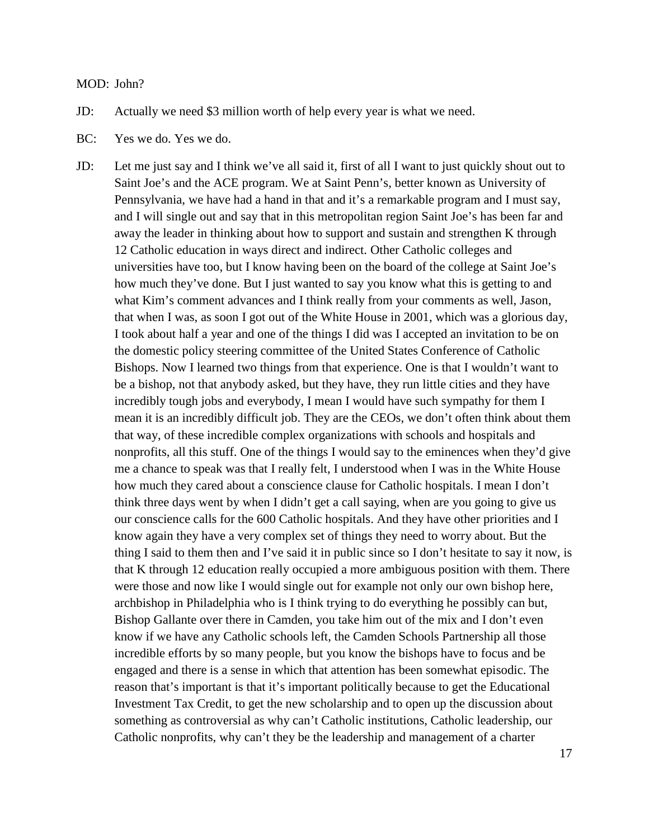#### MOD: John?

JD: Actually we need \$3 million worth of help every year is what we need.

- BC: Yes we do. Yes we do.
- JD: Let me just say and I think we've all said it, first of all I want to just quickly shout out to Saint Joe's and the ACE program. We at Saint Penn's, better known as University of Pennsylvania, we have had a hand in that and it's a remarkable program and I must say, and I will single out and say that in this metropolitan region Saint Joe's has been far and away the leader in thinking about how to support and sustain and strengthen K through 12 Catholic education in ways direct and indirect. Other Catholic colleges and universities have too, but I know having been on the board of the college at Saint Joe's how much they've done. But I just wanted to say you know what this is getting to and what Kim's comment advances and I think really from your comments as well, Jason, that when I was, as soon I got out of the White House in 2001, which was a glorious day, I took about half a year and one of the things I did was I accepted an invitation to be on the domestic policy steering committee of the United States Conference of Catholic Bishops. Now I learned two things from that experience. One is that I wouldn't want to be a bishop, not that anybody asked, but they have, they run little cities and they have incredibly tough jobs and everybody, I mean I would have such sympathy for them I mean it is an incredibly difficult job. They are the CEOs, we don't often think about them that way, of these incredible complex organizations with schools and hospitals and nonprofits, all this stuff. One of the things I would say to the eminences when they'd give me a chance to speak was that I really felt, I understood when I was in the White House how much they cared about a conscience clause for Catholic hospitals. I mean I don't think three days went by when I didn't get a call saying, when are you going to give us our conscience calls for the 600 Catholic hospitals. And they have other priorities and I know again they have a very complex set of things they need to worry about. But the thing I said to them then and I've said it in public since so I don't hesitate to say it now, is that K through 12 education really occupied a more ambiguous position with them. There were those and now like I would single out for example not only our own bishop here, archbishop in Philadelphia who is I think trying to do everything he possibly can but, Bishop Gallante over there in Camden, you take him out of the mix and I don't even know if we have any Catholic schools left, the Camden Schools Partnership all those incredible efforts by so many people, but you know the bishops have to focus and be engaged and there is a sense in which that attention has been somewhat episodic. The reason that's important is that it's important politically because to get the Educational Investment Tax Credit, to get the new scholarship and to open up the discussion about something as controversial as why can't Catholic institutions, Catholic leadership, our Catholic nonprofits, why can't they be the leadership and management of a charter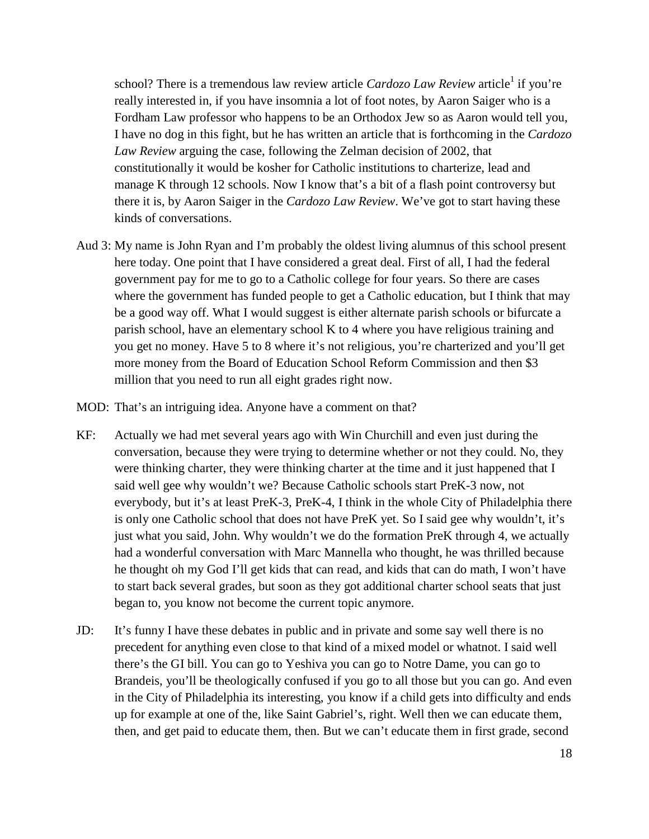school? There is a tremendous law review article *Cardozo Law Review* article<sup>1</sup> if you're really interested in, if you have insomnia a lot of foot notes, by Aaron Saiger who is a Fordham Law professor who happens to be an Orthodox Jew so as Aaron would tell you, I have no dog in this fight, but he has written an article that is forthcoming in the *Cardozo Law Review* arguing the case, following the Zelman decision of 2002, that constitutionally it would be kosher for Catholic institutions to charterize, lead and manage K through 12 schools. Now I know that's a bit of a flash point controversy but there it is, by Aaron Saiger in the *Cardozo Law Review*. We've got to start having these kinds of conversations.

- Aud 3: My name is John Ryan and I'm probably the oldest living alumnus of this school present here today. One point that I have considered a great deal. First of all, I had the federal government pay for me to go to a Catholic college for four years. So there are cases where the government has funded people to get a Catholic education, but I think that may be a good way off. What I would suggest is either alternate parish schools or bifurcate a parish school, have an elementary school K to 4 where you have religious training and you get no money. Have 5 to 8 where it's not religious, you're charterized and you'll get more money from the Board of Education School Reform Commission and then \$3 million that you need to run all eight grades right now.
- MOD: That's an intriguing idea. Anyone have a comment on that?
- KF: Actually we had met several years ago with Win Churchill and even just during the conversation, because they were trying to determine whether or not they could. No, they were thinking charter, they were thinking charter at the time and it just happened that I said well gee why wouldn't we? Because Catholic schools start PreK-3 now, not everybody, but it's at least PreK-3, PreK-4, I think in the whole City of Philadelphia there is only one Catholic school that does not have PreK yet. So I said gee why wouldn't, it's just what you said, John. Why wouldn't we do the formation PreK through 4, we actually had a wonderful conversation with Marc Mannella who thought, he was thrilled because he thought oh my God I'll get kids that can read, and kids that can do math, I won't have to start back several grades, but soon as they got additional charter school seats that just began to, you know not become the current topic anymore.
- JD: It's funny I have these debates in public and in private and some say well there is no precedent for anything even close to that kind of a mixed model or whatnot. I said well there's the GI bill. You can go to Yeshiva you can go to Notre Dame, you can go to Brandeis, you'll be theologically confused if you go to all those but you can go. And even in the City of Philadelphia its interesting, you know if a child gets into difficulty and ends up for example at one of the, like Saint Gabriel's, right. Well then we can educate them, then, and get paid to educate them, then. But we can't educate them in first grade, second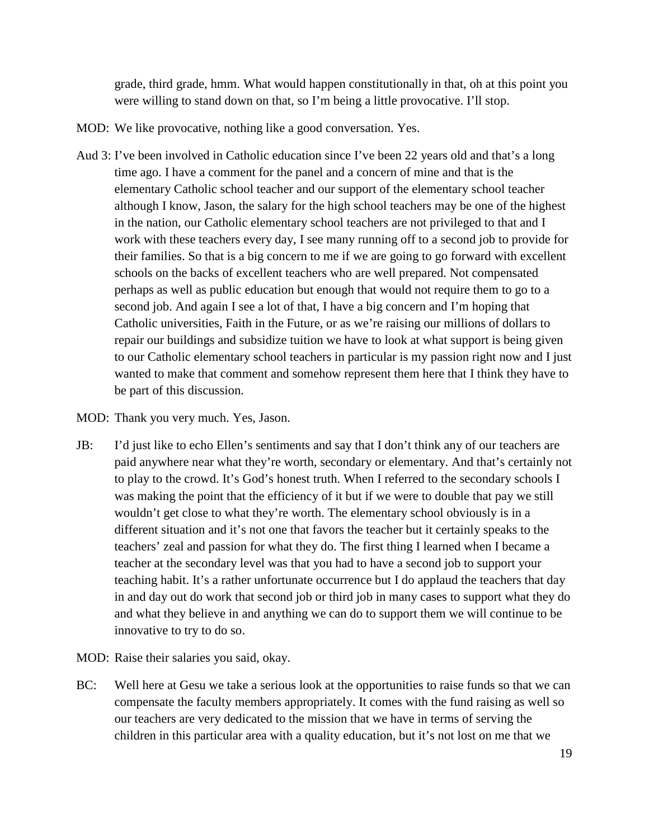grade, third grade, hmm. What would happen constitutionally in that, oh at this point you were willing to stand down on that, so I'm being a little provocative. I'll stop.

- MOD: We like provocative, nothing like a good conversation. Yes.
- Aud 3: I've been involved in Catholic education since I've been 22 years old and that's a long time ago. I have a comment for the panel and a concern of mine and that is the elementary Catholic school teacher and our support of the elementary school teacher although I know, Jason, the salary for the high school teachers may be one of the highest in the nation, our Catholic elementary school teachers are not privileged to that and I work with these teachers every day, I see many running off to a second job to provide for their families. So that is a big concern to me if we are going to go forward with excellent schools on the backs of excellent teachers who are well prepared. Not compensated perhaps as well as public education but enough that would not require them to go to a second job. And again I see a lot of that, I have a big concern and I'm hoping that Catholic universities, Faith in the Future, or as we're raising our millions of dollars to repair our buildings and subsidize tuition we have to look at what support is being given to our Catholic elementary school teachers in particular is my passion right now and I just wanted to make that comment and somehow represent them here that I think they have to be part of this discussion.

MOD: Thank you very much. Yes, Jason.

- JB: I'd just like to echo Ellen's sentiments and say that I don't think any of our teachers are paid anywhere near what they're worth, secondary or elementary. And that's certainly not to play to the crowd. It's God's honest truth. When I referred to the secondary schools I was making the point that the efficiency of it but if we were to double that pay we still wouldn't get close to what they're worth. The elementary school obviously is in a different situation and it's not one that favors the teacher but it certainly speaks to the teachers' zeal and passion for what they do. The first thing I learned when I became a teacher at the secondary level was that you had to have a second job to support your teaching habit. It's a rather unfortunate occurrence but I do applaud the teachers that day in and day out do work that second job or third job in many cases to support what they do and what they believe in and anything we can do to support them we will continue to be innovative to try to do so.
- MOD: Raise their salaries you said, okay.
- BC: Well here at Gesu we take a serious look at the opportunities to raise funds so that we can compensate the faculty members appropriately. It comes with the fund raising as well so our teachers are very dedicated to the mission that we have in terms of serving the children in this particular area with a quality education, but it's not lost on me that we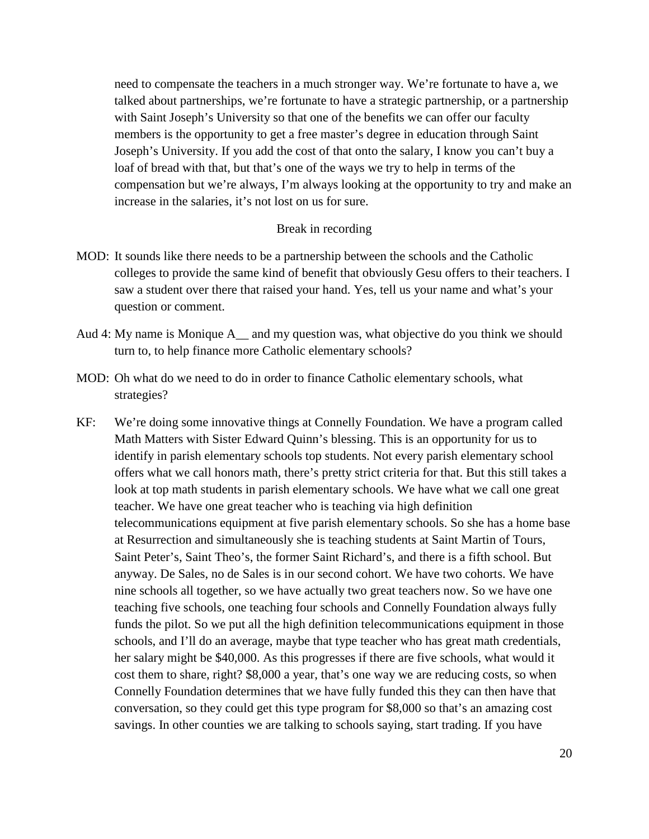need to compensate the teachers in a much stronger way. We're fortunate to have a, we talked about partnerships, we're fortunate to have a strategic partnership, or a partnership with Saint Joseph's University so that one of the benefits we can offer our faculty members is the opportunity to get a free master's degree in education through Saint Joseph's University. If you add the cost of that onto the salary, I know you can't buy a loaf of bread with that, but that's one of the ways we try to help in terms of the compensation but we're always, I'm always looking at the opportunity to try and make an increase in the salaries, it's not lost on us for sure.

## Break in recording

- MOD: It sounds like there needs to be a partnership between the schools and the Catholic colleges to provide the same kind of benefit that obviously Gesu offers to their teachers. I saw a student over there that raised your hand. Yes, tell us your name and what's your question or comment.
- Aud 4: My name is Monique A\_\_ and my question was, what objective do you think we should turn to, to help finance more Catholic elementary schools?
- MOD: Oh what do we need to do in order to finance Catholic elementary schools, what strategies?
- KF: We're doing some innovative things at Connelly Foundation. We have a program called Math Matters with Sister Edward Quinn's blessing. This is an opportunity for us to identify in parish elementary schools top students. Not every parish elementary school offers what we call honors math, there's pretty strict criteria for that. But this still takes a look at top math students in parish elementary schools. We have what we call one great teacher. We have one great teacher who is teaching via high definition telecommunications equipment at five parish elementary schools. So she has a home base at Resurrection and simultaneously she is teaching students at Saint Martin of Tours, Saint Peter's, Saint Theo's, the former Saint Richard's, and there is a fifth school. But anyway. De Sales, no de Sales is in our second cohort. We have two cohorts. We have nine schools all together, so we have actually two great teachers now. So we have one teaching five schools, one teaching four schools and Connelly Foundation always fully funds the pilot. So we put all the high definition telecommunications equipment in those schools, and I'll do an average, maybe that type teacher who has great math credentials, her salary might be \$40,000. As this progresses if there are five schools, what would it cost them to share, right? \$8,000 a year, that's one way we are reducing costs, so when Connelly Foundation determines that we have fully funded this they can then have that conversation, so they could get this type program for \$8,000 so that's an amazing cost savings. In other counties we are talking to schools saying, start trading. If you have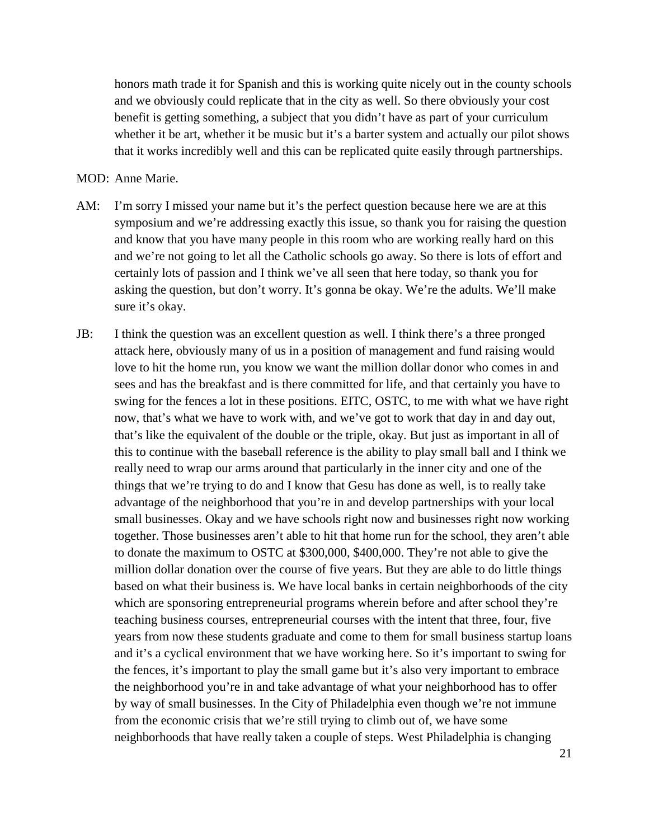honors math trade it for Spanish and this is working quite nicely out in the county schools and we obviously could replicate that in the city as well. So there obviously your cost benefit is getting something, a subject that you didn't have as part of your curriculum whether it be art, whether it be music but it's a barter system and actually our pilot shows that it works incredibly well and this can be replicated quite easily through partnerships.

#### MOD: Anne Marie.

- AM: I'm sorry I missed your name but it's the perfect question because here we are at this symposium and we're addressing exactly this issue, so thank you for raising the question and know that you have many people in this room who are working really hard on this and we're not going to let all the Catholic schools go away. So there is lots of effort and certainly lots of passion and I think we've all seen that here today, so thank you for asking the question, but don't worry. It's gonna be okay. We're the adults. We'll make sure it's okay.
- JB: I think the question was an excellent question as well. I think there's a three pronged attack here, obviously many of us in a position of management and fund raising would love to hit the home run, you know we want the million dollar donor who comes in and sees and has the breakfast and is there committed for life, and that certainly you have to swing for the fences a lot in these positions. EITC, OSTC, to me with what we have right now, that's what we have to work with, and we've got to work that day in and day out, that's like the equivalent of the double or the triple, okay. But just as important in all of this to continue with the baseball reference is the ability to play small ball and I think we really need to wrap our arms around that particularly in the inner city and one of the things that we're trying to do and I know that Gesu has done as well, is to really take advantage of the neighborhood that you're in and develop partnerships with your local small businesses. Okay and we have schools right now and businesses right now working together. Those businesses aren't able to hit that home run for the school, they aren't able to donate the maximum to OSTC at \$300,000, \$400,000. They're not able to give the million dollar donation over the course of five years. But they are able to do little things based on what their business is. We have local banks in certain neighborhoods of the city which are sponsoring entrepreneurial programs wherein before and after school they're teaching business courses, entrepreneurial courses with the intent that three, four, five years from now these students graduate and come to them for small business startup loans and it's a cyclical environment that we have working here. So it's important to swing for the fences, it's important to play the small game but it's also very important to embrace the neighborhood you're in and take advantage of what your neighborhood has to offer by way of small businesses. In the City of Philadelphia even though we're not immune from the economic crisis that we're still trying to climb out of, we have some neighborhoods that have really taken a couple of steps. West Philadelphia is changing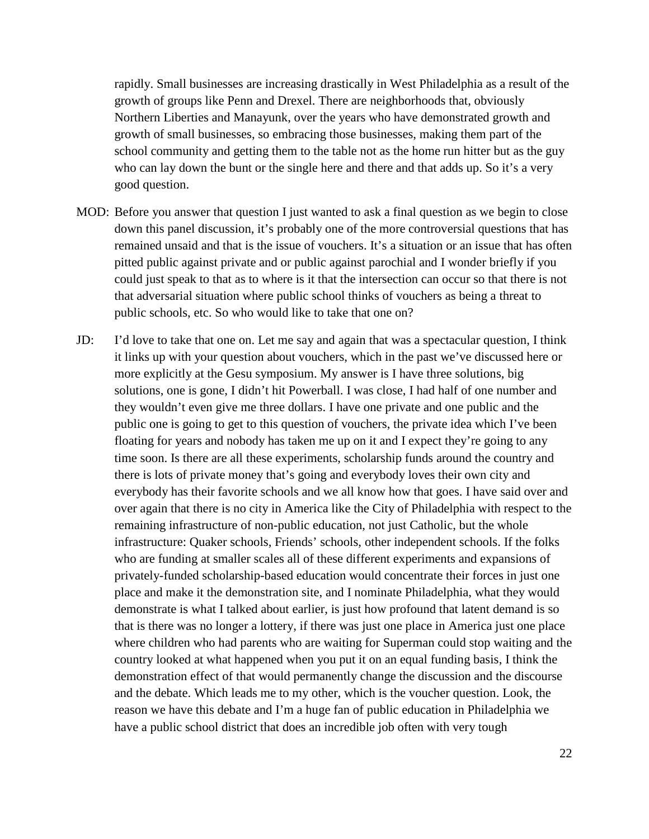rapidly. Small businesses are increasing drastically in West Philadelphia as a result of the growth of groups like Penn and Drexel. There are neighborhoods that, obviously Northern Liberties and Manayunk, over the years who have demonstrated growth and growth of small businesses, so embracing those businesses, making them part of the school community and getting them to the table not as the home run hitter but as the guy who can lay down the bunt or the single here and there and that adds up. So it's a very good question.

- MOD: Before you answer that question I just wanted to ask a final question as we begin to close down this panel discussion, it's probably one of the more controversial questions that has remained unsaid and that is the issue of vouchers. It's a situation or an issue that has often pitted public against private and or public against parochial and I wonder briefly if you could just speak to that as to where is it that the intersection can occur so that there is not that adversarial situation where public school thinks of vouchers as being a threat to public schools, etc. So who would like to take that one on?
- JD: I'd love to take that one on. Let me say and again that was a spectacular question, I think it links up with your question about vouchers, which in the past we've discussed here or more explicitly at the Gesu symposium. My answer is I have three solutions, big solutions, one is gone, I didn't hit Powerball. I was close, I had half of one number and they wouldn't even give me three dollars. I have one private and one public and the public one is going to get to this question of vouchers, the private idea which I've been floating for years and nobody has taken me up on it and I expect they're going to any time soon. Is there are all these experiments, scholarship funds around the country and there is lots of private money that's going and everybody loves their own city and everybody has their favorite schools and we all know how that goes. I have said over and over again that there is no city in America like the City of Philadelphia with respect to the remaining infrastructure of non-public education, not just Catholic, but the whole infrastructure: Quaker schools, Friends' schools, other independent schools. If the folks who are funding at smaller scales all of these different experiments and expansions of privately-funded scholarship-based education would concentrate their forces in just one place and make it the demonstration site, and I nominate Philadelphia, what they would demonstrate is what I talked about earlier, is just how profound that latent demand is so that is there was no longer a lottery, if there was just one place in America just one place where children who had parents who are waiting for Superman could stop waiting and the country looked at what happened when you put it on an equal funding basis, I think the demonstration effect of that would permanently change the discussion and the discourse and the debate. Which leads me to my other, which is the voucher question. Look, the reason we have this debate and I'm a huge fan of public education in Philadelphia we have a public school district that does an incredible job often with very tough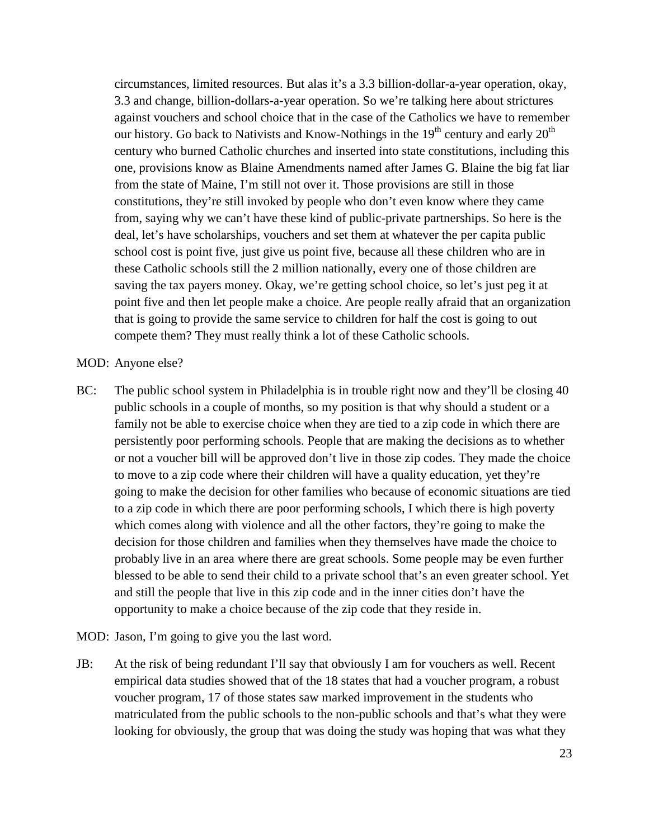circumstances, limited resources. But alas it's a 3.3 billion-dollar-a-year operation, okay, 3.3 and change, billion-dollars-a-year operation. So we're talking here about strictures against vouchers and school choice that in the case of the Catholics we have to remember our history. Go back to Nativists and Know-Nothings in the  $19<sup>th</sup>$  century and early  $20<sup>th</sup>$ century who burned Catholic churches and inserted into state constitutions, including this one, provisions know as Blaine Amendments named after James G. Blaine the big fat liar from the state of Maine, I'm still not over it. Those provisions are still in those constitutions, they're still invoked by people who don't even know where they came from, saying why we can't have these kind of public-private partnerships. So here is the deal, let's have scholarships, vouchers and set them at whatever the per capita public school cost is point five, just give us point five, because all these children who are in these Catholic schools still the 2 million nationally, every one of those children are saving the tax payers money. Okay, we're getting school choice, so let's just peg it at point five and then let people make a choice. Are people really afraid that an organization that is going to provide the same service to children for half the cost is going to out compete them? They must really think a lot of these Catholic schools.

#### MOD: Anyone else?

- BC: The public school system in Philadelphia is in trouble right now and they'll be closing 40 public schools in a couple of months, so my position is that why should a student or a family not be able to exercise choice when they are tied to a zip code in which there are persistently poor performing schools. People that are making the decisions as to whether or not a voucher bill will be approved don't live in those zip codes. They made the choice to move to a zip code where their children will have a quality education, yet they're going to make the decision for other families who because of economic situations are tied to a zip code in which there are poor performing schools, I which there is high poverty which comes along with violence and all the other factors, they're going to make the decision for those children and families when they themselves have made the choice to probably live in an area where there are great schools. Some people may be even further blessed to be able to send their child to a private school that's an even greater school. Yet and still the people that live in this zip code and in the inner cities don't have the opportunity to make a choice because of the zip code that they reside in.
- MOD: Jason, I'm going to give you the last word.
- JB: At the risk of being redundant I'll say that obviously I am for vouchers as well. Recent empirical data studies showed that of the 18 states that had a voucher program, a robust voucher program, 17 of those states saw marked improvement in the students who matriculated from the public schools to the non-public schools and that's what they were looking for obviously, the group that was doing the study was hoping that was what they